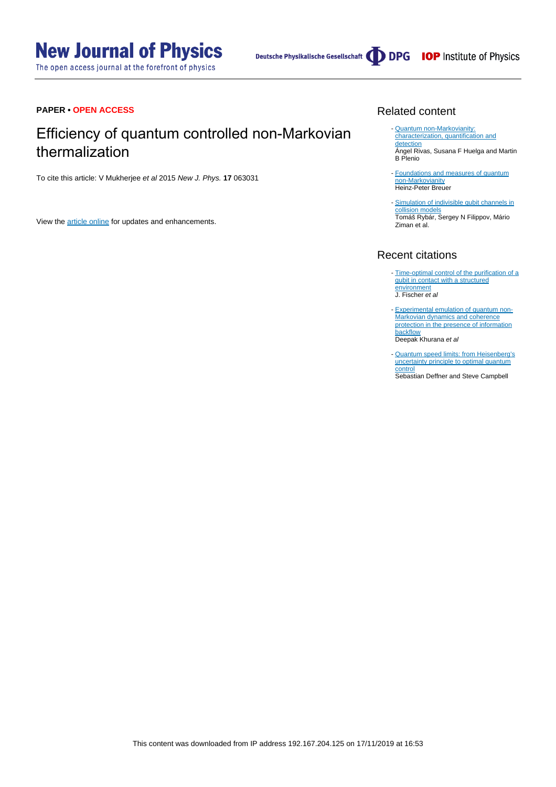The open access journal at the forefront of physics

Deutsche Physikalische Gesellschaft (DDPG IOP Institute of Physics

# **PAPER • OPEN ACCESS**

# Efficiency of quantum controlled non-Markovian thermalization

To cite this article: V Mukherjee et al 2015 New J. Phys. **17** 063031

View the [article online](https://doi.org/10.1088/1367-2630/17/6/063031) for updates and enhancements.

# Related content

- **[Quantum non-Markovianity:](http://iopscience.iop.org/article/10.1088/0034-4885/77/9/094001)** [characterization, quantification and](http://iopscience.iop.org/article/10.1088/0034-4885/77/9/094001) [detection](http://iopscience.iop.org/article/10.1088/0034-4885/77/9/094001) Ángel Rivas, Susana F Huelga and Martin B Plenio
- [Foundations and measures of quantum](http://iopscience.iop.org/article/10.1088/0953-4075/45/15/154001) [non-Markovianity](http://iopscience.iop.org/article/10.1088/0953-4075/45/15/154001) Heinz-Peter Breuer
- [Simulation of indivisible qubit channels in](http://iopscience.iop.org/article/10.1088/0953-4075/45/15/154006) [collision models](http://iopscience.iop.org/article/10.1088/0953-4075/45/15/154006) Tomáš Rybár, Sergey N Filippov, Mário Ziman et al.

# Recent citations

- [Time-optimal control of the purification of a](http://dx.doi.org/10.1103/PhysRevA.99.033410) [qubit in contact with a structured](http://dx.doi.org/10.1103/PhysRevA.99.033410) [environment](http://dx.doi.org/10.1103/PhysRevA.99.033410) J. Fischer et al
- [Experimental emulation of quantum non-](http://dx.doi.org/10.1103/PhysRevA.99.022107)[Markovian dynamics and coherence](http://dx.doi.org/10.1103/PhysRevA.99.022107) [protection in the presence of information](http://dx.doi.org/10.1103/PhysRevA.99.022107) **[backflow](http://dx.doi.org/10.1103/PhysRevA.99.022107)** Deepak Khurana et al
- [Quantum speed limits: from Heisenberg's](http://iopscience.iop.org/1751-8121/50/45/453001) [uncertainty principle to optimal quantum](http://iopscience.iop.org/1751-8121/50/45/453001) **[control](http://iopscience.iop.org/1751-8121/50/45/453001)** Sebastian Deffner and Steve Campbell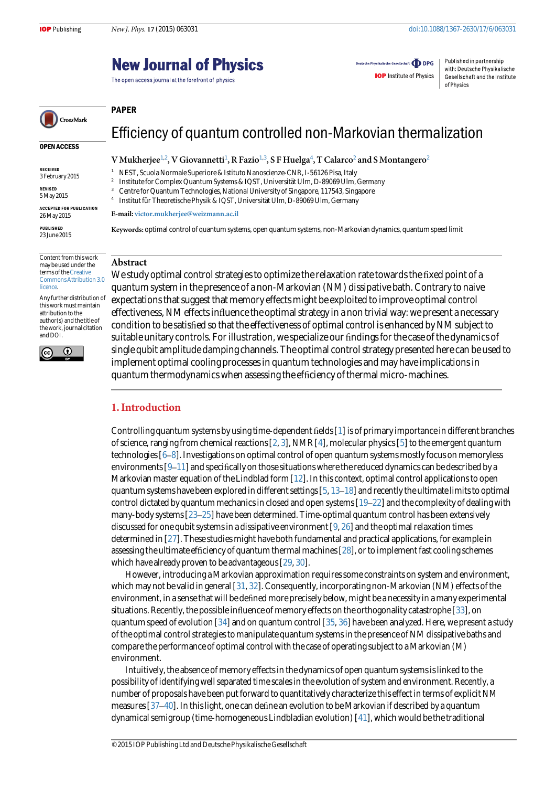# **New Journal of Physics**

The open access journal at the forefront of physics

E-mail: [victor.mukherjee@weizmann.ac.il](mailto:victor.mukherjee@weizmann.ac.il)

Deutsche Physikalische Gesellschaft **ODPG** 

**IOP** Institute of Physics

Published in partnership with: Deutsche Physikalische Gesellschaft and the Institute of Physics

# <span id="page-1-0"></span>CrossMark

#### OPEN ACCESS

RECEIVED 3 February 2015

REVISED 5 May 2015

ACCEPTED FOR PUBLICATION 26 May 2015

PUBLISHED 23 June 2015

Content from this work may be used under the terms of the [Creative](http://creativecommons.org/licenses/by/3.0) [Commons Attribution 3.0](http://creativecommons.org/licenses/by/3.0) **licence** 

Any further distribution of this work must maintain attribution to the author(s) and the title of the work, journal citation and DOI.



# Abstract

PAPER

We study optimal control strategies to optimize the relaxation rate towards the fixed point of a quantum system in the presence of a non-Markovian (NM) dissipative bath. Contrary to naive expectations that suggest that memory effects might be exploited to improve optimal control effectiveness, NM effects influence the optimal strategy in a non trivial way: we present a necessary condition to be satisfied so that the effectiveness of optimal control is enhanced by NM subject to suitable unitary controls. For illustration, we specialize our findings for the case of the dynamics of single qubit amplitude damping channels. The optimal control strategy presented here can be used to implement optimal cooling processes in quantum technologies and may have implications in quantum thermodynamics when assessing the efficiency of thermal micro-machines.

Efficiency of quantum controlled non-Markovian thermalization

Keywords: optimal control of quantum systems, open quantum systems, non-Markovian dynamics, quantum speed limit

V Mukherjee $^{1,2}$ , V Giovannetti $^{1}$ , R Fazio $^{1,3}$ , S F Huelga $^{4}$ , T Calarco $^{2}$  and S Montangero $^{2}$ 

<sup>1</sup> NEST, Scuola Normale Superiore & Istituto Nanoscienze-CNR, I-56126 Pisa, Italy<br><sup>2</sup> Instituto for Complex Quantum Systems & IOST, Universität Ulm, D. 80060 Ulm <sup>2</sup> Institute for Complex Quantum Systems & IQST, Universität Ulm, D-89069 Ulm, Germany<br><sup>3</sup> Contra for Quantum Technologies, National University of Singapore, 117543, Singapore <sup>3</sup> Centre for Quantum Technologies, National University of Singapore, 117543, Singapore <sup>4</sup> Institut für Theoretische Physik & IQST, Universität Ulm, D-89069 Ulm, Germany

# 1. Introduction

Controlling quantum systems by using time-dependent fields [[1\]](#page-8-0) is of primary importance in different branches of science, ranging from chemical reactions  $[2, 3]$  $[2, 3]$  $[2, 3]$  $[2, 3]$  $[2, 3]$ , NMR  $[4]$  $[4]$  $[4]$ , molecular physics  $[5]$  $[5]$  to the emergent quantum technologies [[6](#page-8-0)–[8](#page-8-0)]. Investigations on optimal control of open quantum systems mostly focus on memoryless environments [\[9](#page-9-0)–[11\]](#page-9-0) and specifically on those situations where the reduced dynamics can be described by a Markovian master equation of the Lindblad form  $[12]$  $[12]$  $[12]$ . In this context, optimal control applications to open quantum systems have been explored in different settings [\[5](#page-8-0), [13](#page-9-0)–[18](#page-9-0)] and recently the ultimate limits to optimal control dictated by quantum mechanics in closed and open systems  $[19-22]$  $[19-22]$  $[19-22]$  $[19-22]$  and the complexity of dealing with many-body systems [[23](#page-9-0)–[25\]](#page-9-0) have been determined. Time-optimal quantum control has been extensively discussed for one qubit systems in a dissipative environment  $[9, 26]$  $[9, 26]$  $[9, 26]$  $[9, 26]$  $[9, 26]$  and the optimal relaxation times determined in [[27](#page-9-0)]. These studies might have both fundamental and practical applications, for example in assessing the ultimate efficiency of quantum thermal machines [\[28\]](#page-9-0), or to implement fast cooling schemes which have already proven to be advantageous [\[29,](#page-9-0) [30](#page-9-0)].

However, introducing a Markovian approximation requires some constraints on system and environment, which may not be valid in general [\[31,](#page-9-0) [32](#page-9-0)]. Consequently, incorporating non-Markovian (NM) effects of the environment, in a sense that will be defined more precisely below, might be a necessity in a many experimental situations. Recently, the possible influence of memory effects on the orthogonality catastrophe [\[33\]](#page-9-0), on quantum speed of evolution [\[34\]](#page-9-0) and on quantum control [[35](#page-9-0), [36](#page-9-0)] have been analyzed. Here, we present a study of the optimal control strategies to manipulate quantum systems in the presence of NM dissipative baths and compare the performance of optimal control with the case of operating subject to a Markovian (M) environment.

Intuitively, the absence of memory effects in the dynamics of open quantum systems is linked to the possibility of identifying well separated time scales in the evolution of system and environment. Recently, a number of proposals have been put forward to quantitatively characterize this effect in terms of explicit NM measures [\[37](#page-9-0)–[40](#page-9-0)]. In this light, one can define an evolution to be Markovian if described by a quantum dynamical semigroup (time-homogeneous Lindbladian evolution) [[41](#page-9-0)], which would be the traditional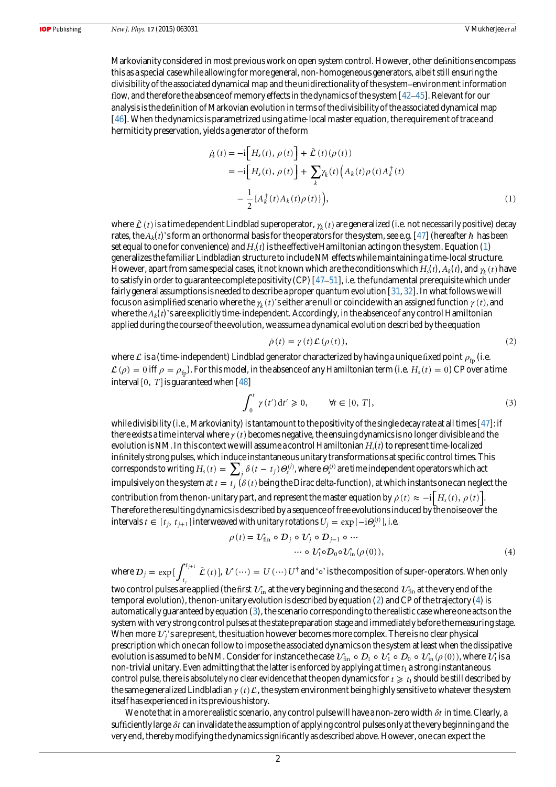<span id="page-2-0"></span>Markovianity considered in most previous work on open system control. However, other definitions encompass this as a special case while allowing for more general, non-homogeneous generators, albeit still ensuring the divisibility of the associated dynamical map and the unidirectionality of the system–environment information flow, and therefore the absence of memory effects in the dynamics of the system [\[42](#page-9-0)–[45\]](#page-9-0). Relevant for our analysis is the definition of Markovian evolution in terms of the divisibility of the associated dynamical map [[46](#page-9-0)]. When the dynamics is parametrized using a time-local master equation, the requirement of trace and hermiticity preservation, yields a generator of the form

$$
\dot{\rho}_s(t) = -i \Big[ H_s(t), \, \rho(t) \Big] + \bar{\mathcal{L}}(t) (\rho(t)) \n= -i \Big[ H_s(t), \, \rho(t) \Big] + \sum_k \gamma_k(t) \Big( A_k(t) \rho(t) A_k^{\dagger}(t) \n- \frac{1}{2} \{ A_k^{\dagger}(t) A_k(t) \rho(t) \} \Big), \tag{1}
$$

where  $\bar{\cal L}$  (*t*) is a time dependent Lindblad superoperator,  $\gamma_k(t)$  are generalized (i.e. not necessarily positive) decay rates, the  $A_k(t)$ 's form an orthonormal basis for the operators for the system, see e.g. [\[47\]](#page-9-0) (hereafter  $\hbar$  has been set equal to one for convenience) and  $H<sub>s</sub>(t)$  is the effective Hamiltonian acting on the system. Equation (1) generalizes the familiar Lindbladian structure to include NM effects while maintaining a time-local structure. However, apart from same special cases, it not known which are the conditions which  $H_s(t)$ ,  $A_k(t)$ , and  $\gamma_k(t)$  have to satisfy in order to guarantee complete positivity  $(CP)$  [[47](#page-9-0)–[51](#page-9-0)], i.e. the fundamental prerequisite which under fairly general assumptions is needed to describe a proper quantum evolution [[31](#page-9-0), [32\]](#page-9-0). In what follows we will focus on a simplified scenario where the  $\gamma_k(t)$ 's either are null or coincide with an assigned function  $\gamma(t)$ , and where the  $A_k(t)$ 's are explicitly time-independent. Accordingly, in the absence of any control Hamiltonian applied during the course of the evolution, we assume a dynamical evolution described by the equation

$$
\dot{\rho}(t) = \gamma(t)\mathcal{L}(\rho(t)),\tag{2}
$$

where  $\mathcal L$  is a (time-independent) Lindblad generator characterized by having a unique fixed point  $\rho_{\rm fp}$  (i.e.  $\mathcal{L}(\rho) = 0$  iff  $\rho = \rho_{\text{fn}}$ ). For this model, in the absence of any Hamiltonian term (i.e.  $H_s(t) = 0$ ) CP over a time interval  $[0, T]$  is guaranteed when  $[48]$  $[48]$  $[48]$ 

$$
\int_0^t \gamma(t')dt' \ge 0, \qquad \forall t \in [0, T], \tag{3}
$$

while divisibility (i.e., Markovianity) is tantamount to the positivity of the single decay rate at all times  $[47]$  $[47]$ : if there exists a time interval where  $\gamma(t)$  becomes negative, the ensuing dynamics is no longer divisible and the evolution is NM. In this context we will assume a control Hamiltonian  $H_s(t)$  to represent time-localized infinitely strong pulses, which induce instantaneous unitary transformations at specific control times. This corresponds to writing  $H_s(t) = \sum_j \delta(t-t_j) \theta_s^{(j)}$ , where  $\theta_s^{(j)}$  are time independent operators which act impulsively on the system at  $t = t_j$  ( $\delta(t)$  being the Dirac delta-function), at which instants one can neglect the contribution from the non-unitary part, and represent the master equation by  $\dot{\rho}(t) \approx -i[H_s(t), \rho(t)]$ . Therefore the resulting dynamics is described by a sequence of free evolutions induced by the noise over the intervals  $t \in [t_j, t_{j+1}]$  interweaved with unitary rotations  $U_j = \exp[-\mathrm{i}\theta_s^{(j)}]$ , i.e.

$$
\rho(t) = \mathcal{U}_{fin} \circ \mathcal{D}_j \circ \mathcal{U}_j \circ \mathcal{D}_{j-1} \circ \cdots
$$
  

$$
\cdots \circ \mathcal{U}_1 \circ \mathcal{D}_0 \circ \mathcal{U}_{in} (\rho(0)),
$$
 (4)

where  $D_j = \exp\left[\int_{t_j}^{t_{j+1}} \tilde{\mathcal{L}}(t)\right]$ *j*  $\mathcal{D}_j = \exp \left[ \int_{t_j}^{t_{j+1}} \tilde{\mathcal{L}} \left( t \right) \right]$ ,  $\mathcal{U} \left( \cdots \right) = U \left( \cdots \right) U^\dagger$  and '∘' is the composition of super-operators. When only two control pulses are applied (the first  $v_{in}$  at the very beginning and the second  $v_{fin}$  at the very end of the temporal evolution), the non-unitary evolution is described by equation (2) and CP of the trajectory (4) is automatically guaranteed by equation (3), the scenario corresponding to the realistic case where one acts on the system with very strong control pulses at the state preparation stage and immediately before the measuring stage. When more  $\mathcal{U}_i$ 's are present, the situation however becomes more complex. There is no clear physical prescription which one can follow to impose the associated dynamics on the system at least when the dissipative evolution is assumed to be NM. Consider for instance the case  $\mathcal{U}_{fin} \circ \mathcal{D}_1 \circ \mathcal{U}_1 \circ \mathcal{D}_0 \circ \mathcal{U}_{in}(\rho(0))$ , where  $\mathcal{U}_1$  is a non-trivial unitary. Even admitting that the latter is enforced by applying at time  $t_1$  a strong instantaneous control pulse, there is absolutely no clear evidence that the open dynamics for  $t \geq t_1$  should be still described by the same generalized Lindbladian  $\gamma(t) \mathcal{L}$ , the system environment being highly sensitive to whatever the system itself has experienced in its previous history.

We note that in a more realistic scenario, any control pulse will have a non-zero width *δt* in time. Clearly, a sufficiently large *δt* can invalidate the assumption of applying control pulses only at the very beginning and the very end, thereby modifying the dynamics significantly as described above. However, one can expect the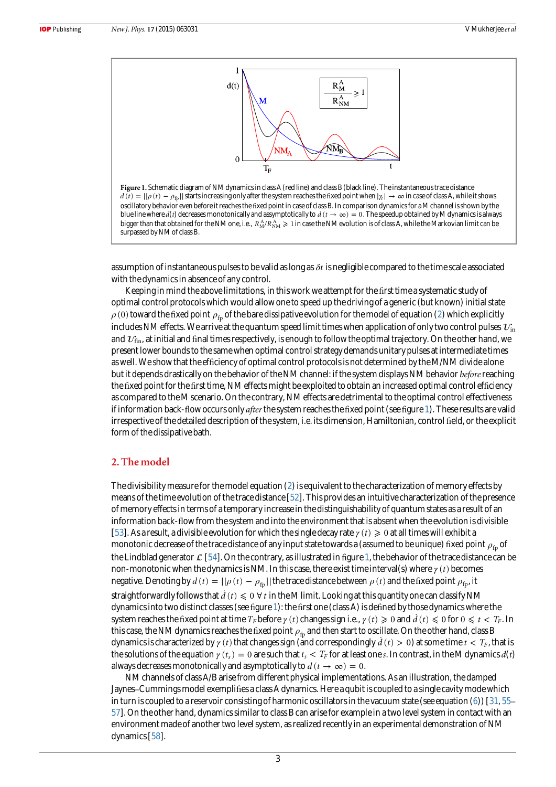

<span id="page-3-0"></span>Figure 1. Schematic diagram of NM dynamics in class A (red line) and class B (black line). The instantaneous trace distance  $d(t) = ||\rho(t) - \rho_{fp}||$  starts increasing only after the system reaches the fixed point when  $|\gamma_t| \to \infty$  in case of class A, while it shows oscillatory behavior even before it reaches the fixed point in case of class B. In comparison dynamics for a M channel is shown by the blue line where  $d(t)$  decreases monotonically and assymptotically to  $d(t \to \infty) = 0$ . The speedup obtained by M dynamics is always bigger than that obtained for the NM one, i.e.,  $R^{\rm A}_{\rm M}/R^{\rm A}_{\rm NM}\geqslant1$  in case the NM evolution is of class A, while the Markovian limit can be surpassed by NM of class B.

assumption of instantaneous pulses to be valid as long as *δt* is negligible compared to the time scale associated with the dynamics in absence of any control.

Keeping in mind the above limitations, in this work we attempt for the first time a systematic study of optimal control protocols which would allow one to speed up the driving of a generic (but known) initial state  $\rho$  (0) toward the fixed point  $\rho_{\rm fr}$  of the bare dissipative evolution for the model of equation [\(2](#page-2-0)) which explicitly includes NM effects. We arrive at the quantum speed limit times when application of only two control pulses  $v_{in}$ and  $v_{fin}$ , at initial and final times respectively, is enough to follow the optimal trajectory. On the other hand, we present lower bounds to the same when optimal control strategy demands unitary pulses at intermediate times as well. We show that the efficiency of optimal control protocols is not determined by the M/NM divide alone but it depends drastically on the behavior of the NM channel: if the system displays NM behavior before reaching the fixed point for the first time, NM effects might be exploited to obtain an increased optimal control efficiency as compared to the M scenario. On the contrary, NM effects are detrimental to the optimal control effectiveness if information back-flow occurs only *after* the system reaches the fixed point (see figure 1). These results are valid irrespective of the detailed description of the system, i.e. its dimension, Hamiltonian, control field, or the explicit form of the dissipative bath.

# 2. The model

The divisibility measure for the model equation ([2\)](#page-2-0) is equivalent to the characterization of memory effects by means of the time evolution of the trace distance [[52](#page-9-0)]. This provides an intuitive characterization of the presence of memory effects in terms of a temporary increase in the distinguishability of quantum states as a result of an information back-flow from the system and into the environment that is absent when the evolution is divisible [[53](#page-9-0)]. As a result, a divisible evolution for which the single decay rate  $\gamma(t) \geq 0$  at all times will exhibit a monotonic decrease of the trace distance of any input state towards a (assumed to be unique) fixed point  $ρ<sub>fn</sub>$  of the Lindblad generator  $\mathcal{L}[54]$  $\mathcal{L}[54]$  $\mathcal{L}[54]$ . On the contrary, as illustrated in figure 1, the behavior of the trace distance can be non-monotonic when the dynamics is NM. In this case, there exist time interval(s) where *γ* (*t*) becomes negative. Denoting by  $d(t) = ||\rho(t) - \rho_{fp}||$  the trace distance between  $\rho(t)$  and the fixed point  $\rho_{fp}$ , it straightforwardly follows that  $d(t) \leq 0 \forall t$  in the M limit. Looking at this quantity one can classify NM dynamics into two distinct classes (see figure 1): the first one (class A) is defined by those dynamics where the system reaches the fixed point at time  $T_F$  before  $\gamma(t)$  changes sign i.e.,  $\gamma(t) \geq 0$  and  $\dot{d}(t) \leq 0$  for  $0 \leq t < T_F$ . In this case, the NM dynamics reaches the fixed point  $\rho_{\rm fb}$  and then start to oscillate. On the other hand, class B dynamics is characterized by  $\gamma(t)$  that changes sign (and correspondingly  $\dot{d}(t) > 0$ ) at some time  $t < T_F$ , that is the solutions of the equation  $\gamma(t_s) = 0$  are such that  $t_s < T_F$  for at least one s. In contrast, in the M dynamics  $d(t)$ always decreases monotonically and asymptotically to  $d(t \to \infty) = 0$ .

NM channels of class A/B arise from different physical implementations. As an illustration, the damped Jaynes–Cummings model exemplifies a class A dynamics. Here a qubit is coupled to a single cavity mode which in turn is coupled to a reservoir consisting of harmonic oscillators in the vacuum state (see equation  $(6)$  $(6)$  $(6)$ ) [[31](#page-9-0), [55](#page-9-0)– [57\]](#page-9-0). On the other hand, dynamics similar to class B can arise for example in a two level system in contact with an environment made of another two level system, as realized recently in an experimental demonstration of NM dynamics [\[58\]](#page-9-0).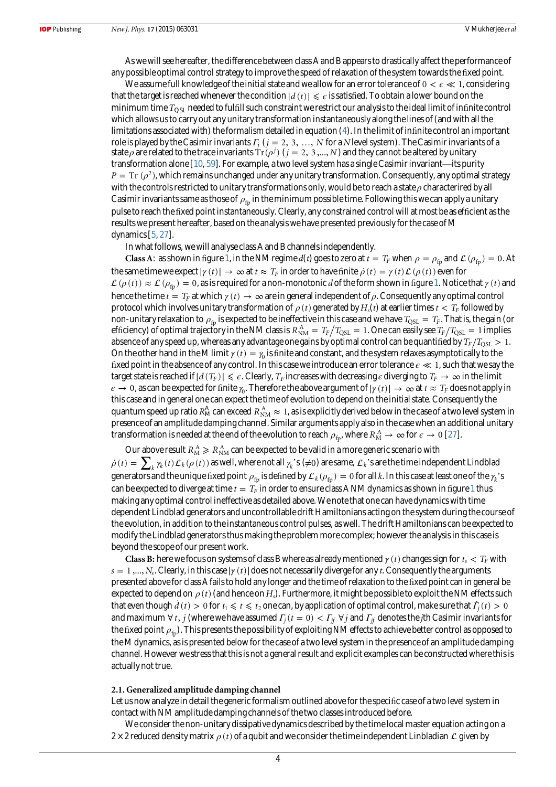<span id="page-4-0"></span>As we will see hereafter, the difference between class A and B appears to drastically affect the performance of any possible optimal control strategy to improve the speed of relaxation of the system towards the fixed point.

We assume full knowledge of the initial state and we allow for an error tolerance of  $0 < \epsilon \ll 1$ , considering that the target is reached whenever the condition  $|d(t)| \leq \epsilon$  is satisfied. To obtain a lower bound on the minimum time  $T_{\rm OSI}$  needed to fulfill such constraint we restrict our analysis to the ideal limit of infinite control which allows us to carry out any unitary transformation instantaneously along the lines of (and with all the limitations associated with) the formalism detailed in equation ([4](#page-2-0)). In the limit of infinite control an important role is played by the Casimir invariants  $\Gamma_i$  ( $j = 2, 3, ..., N$  for a N level system). The Casimir invariants of a state  $\rho$  are related to the trace invariants  $Tr(\rho^j)$  ( $j = 2, 3, ..., N$ ) and they cannot be altered by unitary transformation alone [\[10,](#page-9-0) [59](#page-9-0)]. For example, a two level system has a single Casimir invariant—its purity  $P = Tr (\rho^2)$ , which remains unchanged under any unitary transformation. Consequently, any optimal strategy with the controls restricted to unitary transformations only, would be to reach a state  $\rho$  characterired by all Casimir invariants same as those of  $\rho_{\rm fr}$  in the minimum possible time. Following this we can apply a unitary pulse to reach the fixed point instantaneously. Clearly, any constrained control will at most be as efficient as the results we present hereafter, based on the analysis we have presented previously for the case of M dynamics [\[5,](#page-8-0) [27](#page-9-0)].

In what follows, we will analyse class A and B channels independently.

Class A: as shown in figure [1](#page-3-0), in the NM regime  $d(t)$  goes to zero at  $t = T_F$  when  $\rho = \rho_{\rm fb}$  and  $\mathcal{L}(\rho_{\rm fb}) = 0$ . At the same time we expect  $|\gamma(t)| \to \infty$  at  $t \approx T_F$  in order to have finite  $\dot{\rho}(t) = \gamma(t) \mathcal{L}(\rho(t))$  even for  $\mathcal{L}(\rho(t)) \approx \mathcal{L}(\rho_{\rm fp}) = 0$ , as is required for a non-monotonic d of the form shown in figure [1](#page-3-0). Notice that  $\gamma(t)$  and hence the time  $t = T_F$  at which  $\gamma(t) \to \infty$  are in general independent of  $\rho$ . Consequently any optimal control protocol which involves unitary transformation of  $\rho(t)$  generated by  $H_s(t)$  at earlier times  $t < T_F$  followed by non-unitary relaxation to  $\rho_{fp}$  is expected to be ineffective in this case and we have  $T_{QSL} = T_F$ . That is, the gain (or efficiency) of optimal trajectory in the NM class is  $R_{NM}^A = T_F/T_{QSL} = 1$ . One can easily see  $T_F/T_{QSL} = 1$  implies absence of any speed up, whereas any advantage one gains by optimal control can be quantified by  $T_F/T_{\text{OSL}} > 1$ . On the other hand in the M limit  $\gamma(t) = \gamma_0$  is finite and constant, and the system relaxes asymptotically to the fixed point in the absence of any control. In this case we introduce an error tolerance *ϵ* ≪ 1, such that we say the target state is reached if  $|d(T_F)| \leq \epsilon$ . Clearly,  $T_F$  increases with decreasing  $\epsilon$  diverging to  $T_F \to \infty$  in the limit  $\epsilon \to 0$ , as can be expected for finite  $\gamma_0$ . Therefore the above argument of  $|\gamma(t)| \to \infty$  at  $t \approx T_F$  does not apply in this case and in general one can expect the time of evolution to depend on the initial state. Consequently the quantum speed up ratio  $R_M^{\rm A}$  can exceed  $R_{\rm NM}^{\rm A}\approx1$ , as is explicitly derived below in the case of a two level system in presence of an amplitude damping channel. Similar arguments apply also in the case when an additional unitary transformation is needed at the end of the evolution to reach  $\rho_{\rm fp}$ , where  $R_{\rm M}^{\rm A} \to \infty$  for  $\epsilon \to 0$  [[27](#page-9-0)].

Our above result  $R_{\rm M}^{\rm A} \geqslant R_{\rm NM}^{\rm A}$  can be expected to be valid in a more generic scenario with  $\dot{\rho}(t) = \sum_{k} \gamma_k(t) \mathcal{L}_k(\rho(t))$  as well, where not all  $\gamma_k$ 's (≠0) are same,  $\mathcal{L}_k$ 's are the time independent Lindblad generators and the unique fixed point  $\rho_{fp}$  is defined by  $\mathcal{L}_k(\rho_{fp}) = 0$  for all k. In this case at least one of the  $\gamma_k$ 's can be expected to diverge at time  $t = T_F$  in order to ensure class A NM dynamics as shown in figure [1](#page-3-0) thus making any optimal control ineffective as detailed above. We note that one can have dynamics with time dependent Lindblad generators and uncontrollable drift Hamiltonians acting on the system during the course of the evolution, in addition to the instantaneous control pulses, as well. The drift Hamiltonians can be expected to modify the Lindblad generators thus making the problem more complex; however the analysis in this case is beyond the scope of our present work.

Class B: here we focus on systems of class B where as already mentioned  $\gamma(t)$  changes sign for  $t_s < T_F$  with  $s = 1, ..., N_s$ . Clearly, in this case  $|\gamma(t)|$  does not necessarily diverge for any t. Consequently the arguments presented above for class A fails to hold any longer and the time of relaxation to the fixed point can in general be expected to depend on  $\rho(t)$  (and hence on H<sub>s</sub>). Furthermore, it might be possible to exploit the NM effects such that even though  $\dot{d}(t) > 0$  for  $t_1 \leq t \leq t_2$  one can, by application of optimal control, make sure that  $\dot{F}_i(t) > 0$ and maximum  $\forall t, j$  (where we have assumed  $\Gamma_i(t=0) < \Gamma_i f \forall j$  and  $\Gamma_i f$  denotes the *j*th Casimir invariants for the fixed point  $\rho_{\rm fb}$ . This presents the possibility of exploiting NM effects to achieve better control as opposed to the M dynamics, as is presented below for the case of a two level system in the presence of an amplitude damping channel. However we stress that this is not a general result and explicit examples can be constructed where this is actually not true.

## 2.1. Generalized amplitude damping channel

Let us now analyze in detail the generic formalism outlined above for the specific case of a two level system in contact with NM amplitude damping channels of the two classes introduced before.

We consider the non-unitary dissipative dynamics described by the time local master equation acting on a  $2 \times 2$  reduced density matrix  $\rho(t)$  of a qubit and we consider the time independent Linbladian  $\mathcal L$  given by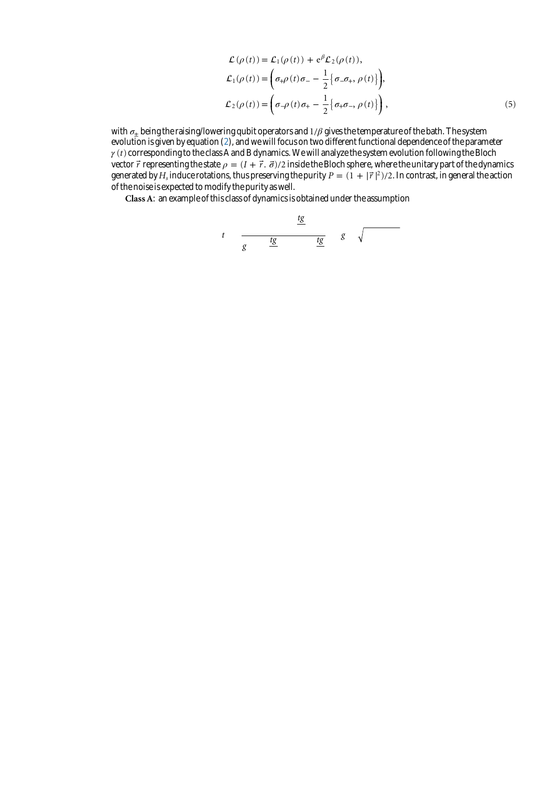$$
\mathcal{L}(\rho(t)) = \mathcal{L}_1(\rho(t)) + e^{\beta} \mathcal{L}_2(\rho(t)),
$$
\n
$$
\mathcal{L}_1(\rho(t)) = \left(\sigma_{+}\rho(t)\sigma_{-} - \frac{1}{2} \{\sigma_{-}\sigma_{+}, \rho(t)\}\right),
$$
\n
$$
\mathcal{L}_2(\rho(t)) = \left(\sigma_{-}\rho(t)\sigma_{+} - \frac{1}{2} \{\sigma_{+}\sigma_{-}, \rho(t)\}\right),
$$
\n(5)

<span id="page-5-0"></span>with  $\sigma_{\pm}$  being the raising/lowering qubit operators and  $1/\beta$  gives the temperature of the bath. The system evolution is given by equation ([2\)](#page-2-0), and we will focus on two different functional dependence of the parameter *γ* (*t*) corresponding to the class A and B dynamics. We will analyze the system evolution following the Bloch vector  $\vec{r}$  representing the state  $\rho = (I + \vec{r} \cdot \vec{\sigma})/2$  inside the Bloch sphere, where the unitary part of the dynamics generated by  $H_s$  induce rotations, thus preserving the purity  $P = (1 + |\vec{r}|^2)/2$ . In contrast, in general the action of the noise is expected to modify the purity as well.

Class A: an example of this class of dynamics is obtained under the assumption

$$
t \quad \frac{tg}{g} \quad \frac{tg}{g} \quad g \quad \sqrt{}
$$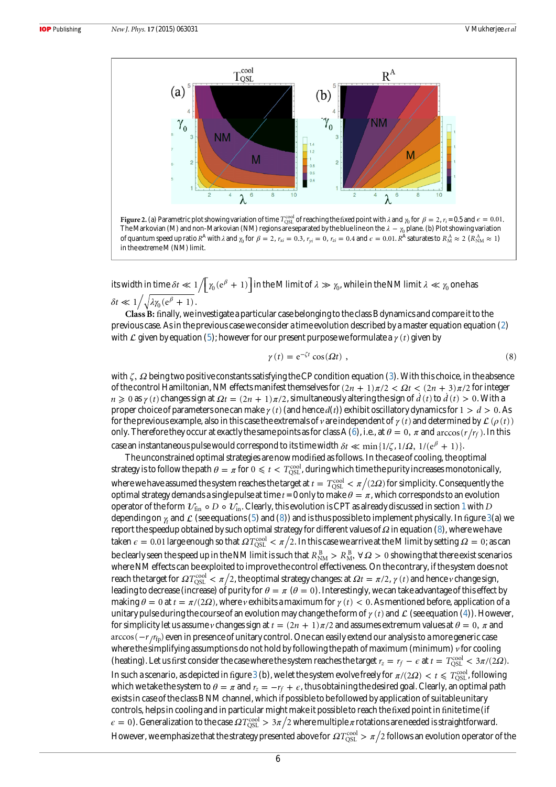<span id="page-6-0"></span>

its width in time  $\delta t \ll 1/[\gamma_0({\rm e}^{\beta}+1)]$  in the M limit of  $\lambda \gg \gamma_0$ , while in the NM limit  $\lambda \ll \gamma_0$  one has  $\delta t \ll 1 / \sqrt{\lambda \gamma_0 (e^{\beta} + 1)}$ .

Class B: finally, we investigate a particular case belonging to the class B dynamics and compare it to the previous case. As in the previous case we consider a time evolution described by a master equation equation [\(2](#page-2-0)) with  $\mathcal L$  given by equation ([5\)](#page-4-0); however for our present purpose we formulate a  $\gamma(t)$  given by

$$
\gamma(t) = e^{-\zeta t} \cos(\Omega t) \tag{8}
$$

with ζ, Ω being two positive constants satisfying the CP condition equation [\(3](#page-2-0)). With this choice, in the absence of the control Hamiltonian, NM effects manifest themselves for  $(2n + 1)\pi/2 < \Omega t < (2n + 3)\pi/2$  for integer  $n \geq 0$  as  $\gamma(t)$  changes sign at  $\Omega t = (2n + 1)\pi/2$ , simultaneously altering the sign of  $d(t)$  to  $d(t) > 0$ . With a proper choice of parameters one can make  $\gamma(t)$  (and hence  $d(t)$ ) exhibit oscillatory dynamics for  $1 > d > 0$ . As for the previous example, also in this case the extremals of *v* are independent of  $\gamma(t)$  and determined by  $\mathcal{L}(\rho(t))$ only. Therefore they occur at exactly the same points as for class A ([6\)](#page-5-0), i.e., at  $\theta = 0$ ,  $\pi$  and arccos( $r/r_f$ ). In this case an instantaneous pulse would correspond to its time width  $\delta t \ll \min\{1/\zeta, 1/\Omega, 1/(e^{\beta} + 1)\}\$ .

The unconstrained optimal strategies are now modified as follows. In the case of cooling, the optimal strategy is to follow the path  $\theta=\pi$  for  $0\leqslant t< T_{\rm QSL}^{\rm cool}$  , during which time the purity increases monotonically, where we have assumed the system reaches the target at  $t = T_{\text{OSL}}^{\text{cool}} < \pi/(2\Omega)$  for simplicity. Consequently the optimal strategy demands a single pulse at time  $t = 0$  only to make  $\theta = \pi$ , which corresponds to an evolution operator of the form  $v_{fin} \circ D \circ \nu_{in}$ . Clearly, this evolution is CPT as already discussed in section [1](#page-1-0) with D depending on  $\gamma_t$  and  $\mathcal L$  (see equations [\(5](#page-4-0)) and (8)) and is thus possible to implement physically. In figure [3](#page-7-0)(a) we report the speedup obtained by such optimal strategy for different values of Ω in equation (8), where we have taken  $\epsilon = 0.01$  large enough so that  $\Omega T_{\rm QSL}^{\rm cool} < \pi/2$ . In this case we arrive at the M limit by setting  $\Omega = 0$ ; as can be clearly seen the speed up in the NM limit is such that  $R^{\,\rm B}_{\rm NM} > R^{\,\rm B}_{\rm M}, \,\forall\,\Omega>0$  showing that there exist scenarios where NM effects can be exploited to improve the control effectiveness. On the contrary, if the system does not reach the target for  $\Omega T_{\rm OSI}^{\rm cool} < \pi/2$ , the optimal strategy changes: at  $\Omega t = \pi/2$ ,  $\gamma(t)$  and hence v change sign, leading to decrease (increase) of purity for  $\theta = \pi$  ( $\theta = 0$ ). Interestingly, we can take advantage of this effect by making  $\theta = 0$  at  $t = \pi/(2\Omega)$ , where v exhibits a maximum for  $\gamma(t) < 0$ . As mentioned before, application of a unitary pulse during the course of an evolution may change the form of  $\gamma(t)$  and  $\mathcal L$  (see equation [\(4\)](#page-2-0)). However, for simplicity let us assume *v* changes sign at  $t = (2n + 1)\pi/2$  and assumes extremum values at  $\theta = 0$ ,  $\pi$  and arccos(  $-r$  *r*<sub>fp</sub>) even in presence of unitary control. One can easily extend our analysis to a more generic case where the simplifying assumptions do not hold by following the path of maximum (minimum)  $\nu$  for cooling (heating). Let us first consider the case where the system reaches the target  $r_z = r_f - \epsilon$  at  $t = T_{\text{QSL}}^{\text{cool}} < 3\pi/(2\Omega)$ . In such a scenario, as depicted in figure [3](#page-7-0) (b), we let the system evolve freely for  $\pi/(2\varOmega) < t \leqslant T_{\rm QSL}^{\rm cool}$  , following which we take the system to  $\theta = \pi$  and  $r_z = -r_f + \epsilon$ , thus obtaining the desired goal. Clearly, an optimal path exists in case of the class B NM channel, which if possible to be followed by application of suitable unitary controls, helps in cooling and in particular might make it possible to reach the fixed point in finite time (if  $\epsilon = 0$ ). Generalization to the case  $\Omega T_{\rm OSL}^{\rm cool} > 3\pi/2$  where multiple  $\pi$  rotations are needed is straightforward. However, we emphasize that the strategy presented above for  $\Omega T_{\rm OSL}^{\rm cool} > \pi/2$  follows an evolution operator of the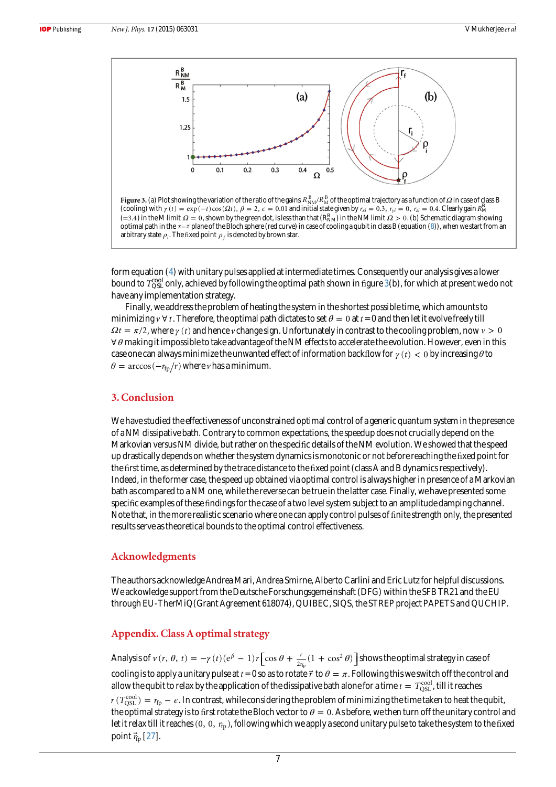<span id="page-7-0"></span>

Figure 3. (a) Plot showing the variation of the ratio of the gains  $R^{\rm \,B}_{\rm NM}/R^{\rm \,B}_{\rm M}$  of the optimal trajectory as a function of  $\Omega$  in case of class B (cooling) with  $\gamma(t) = \exp(-t)\cos(\Omega t)$ ,  $\beta = 2$ ,  $\epsilon = 0.01$  and initial state given by  $r_{xi} = 0.3$ ,  $r_{yi} = 0$ ,  $r_{zi} = 0.4$ . Clearly gain  $R_M^B$  $(=3.4)$  in the M limit  $\Omega = 0$ , shown by the green dot, is less than that  $(R_{NM}^B)$  in the NM limit  $\Omega > 0$ . (b) Schematic diagram showing optimal path in the *x*–*z* plane of the Bloch sphere (red curve) in case of cooling a qubit in class B (equation [\(8\)](#page-6-0)), when we start from an arbitrary state  $\rho_i$ . The fixed point  $\rho_f$  is denoted by brown star.

form equation ([4](#page-2-0)) with unitary pulses applied at intermediate times. Consequently our analysis gives a lower bound to  $T_{\rm QSL}^{\rm cool}$  only, achieved by following the optimal path shown in figure 3(b), for which at present we do not have any implementation strategy.

Finally, we address the problem of heating the system in the shortest possible time, which amounts to minimizing  $\gamma \forall t$ . Therefore, the optimal path dictates to set  $\theta = 0$  at  $t = 0$  and then let it evolve freely till  $\Omega t = \pi/2$ , where  $\gamma(t)$  and hence *v* change sign. Unfortunately in contrast to the cooling problem, now  $\nu > 0$ ∀ *θ* making it impossible to take advantage of the NM effects to accelerate the evolution. However, even in this case one can always minimize the unwanted effect of information backflow for  $\gamma(t) < 0$  by increasing  $\theta$  to  $\theta = \arccos(-r_{\text{fp}}/r)$  where *v* has a minimum.

# 3. Conclusion

We have studied the effectiveness of unconstrained optimal control of a generic quantum system in the presence of a NM dissipative bath. Contrary to common expectations, the speedup does not crucially depend on the Markovian versus NM divide, but rather on the specific details of the NM evolution. We showed that the speed up drastically depends on whether the system dynamics is monotonic or not before reaching the fixed point for the first time, as determined by the trace distance to the fixed point (class A and B dynamics respectively). Indeed, in the former case, the speed up obtained via optimal control is always higher in presence of a Markovian bath as compared to a NM one, while the reverse can be true in the latter case. Finally, we have presented some specific examples of these findings for the case of a two level system subject to an amplitude damping channel. Note that, in the more realistic scenario where one can apply control pulses of finite strength only, the presented results serve as theoretical bounds to the optimal control effectiveness.

# Acknowledgments

The authors acknowledge Andrea Mari, Andrea Smirne, Alberto Carlini and Eric Lutz for helpful discussions. We ackowledge support from the Deutsche Forschungsgemeinshaft (DFG) within the SFB TR21 and the EU through EU-TherMiQ(Grant Agreement 618074), QUIBEC, SIQS, the STREP project PAPETS and QUCHIP.

# Appendix. Class A optimal strategy

Analysis of  $v(r, \theta, t) = -\gamma(t)(e^{\beta} - 1)r \left[ \cos \theta + \frac{r}{2r_{\text{fp}}}(1 + \cos^2 \theta) \right]$ 2  $\theta$ , t) =  $-\gamma$  (t) (e<sup> $\beta$ </sup> - 1) r  $\left[\cos \theta + \frac{r}{2r_{\text{fp}}}(1 + \cos^2 \theta)\right]$  shows the optimal strategy in case of cooling is to apply a unitary pulse at  $t = 0$  so as to rotate  $\vec{r}$  to  $\theta = \pi$ . Following this we switch off the control and allow the qubit to relax by the application of the dissipative bath alone for a time  $t=T_{\rm QSL}^{\rm cool}$  , till it reaches  $r$  (  $T_{\rm QSL}^{\rm cool}$  )  $=$   $r_{\rm fp}$   $\epsilon.$  In contrast, while considering the problem of minimizing the time taken to heat the qubit, the optimal strategy is to first rotate the Bloch vector to  $\theta = 0$ . As before, we then turn off the unitary control and let it relax till it reaches (0, 0,  $r_{fp}$ ), following which we apply a second unitary pulse to take the system to the fixed point  $\vec{r}_{\text{fp}}$  [[27](#page-9-0)].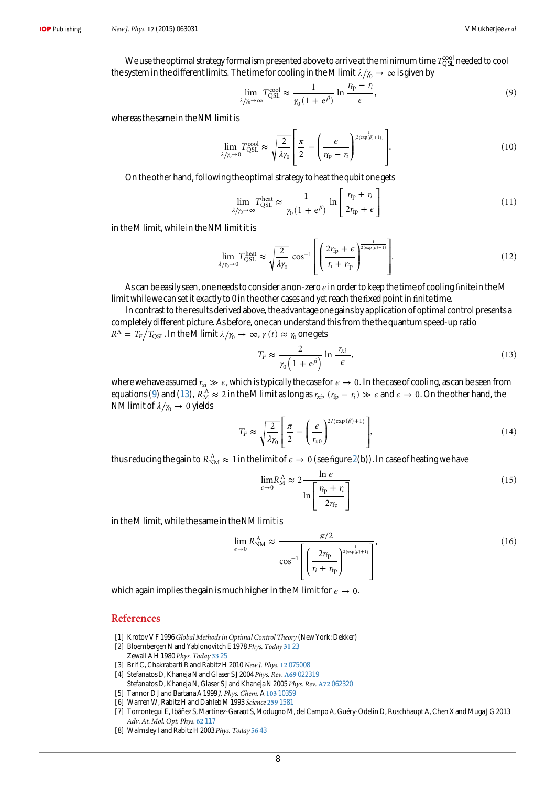<span id="page-8-0"></span>We use the optimal strategy formalism presented above to arrive at the minimum time  $T_{\rm QSL}^{\rm cool}$  needed to cool the system in the different limits. The time for cooling in the M limit  $\lambda/\gamma_0 \to \infty$  is given by

$$
\lim_{\lambda/\gamma_0 \to \infty} T_{\text{QSL}}^{\text{cool}} \approx \frac{1}{\gamma_0 (1 + \mathbf{e}^\beta)} \ln \frac{r_{\text{fp}} - r_i}{\epsilon},\tag{9}
$$

whereas the same in the NM limit is

$$
\lim_{\lambda/\gamma_0 \to 0} T_{\text{QSL}}^{\text{cool}} \approx \sqrt{\frac{2}{\lambda \gamma_0}} \left[ \frac{\pi}{2} - \left( \frac{\epsilon}{r_{\text{fp}} - r_i} \right)^{\frac{1}{[2(\exp(\beta) + 1)]}} \right]. \tag{10}
$$

On the other hand, following the optimal strategy to heat the qubit one gets

$$
\lim_{\lambda/\gamma_0 \to \infty} T_{\text{QSL}}^{\text{heat}} \approx \frac{1}{\gamma_0 (1 + \mathbf{e}^{\beta})} \ln \left[ \frac{r_{\text{fp}} + r_i}{2r_{\text{fp}} + \epsilon} \right] \tag{11}
$$

in the M limit, while in the NM limit it is

$$
\lim_{\lambda/\gamma_0 \to 0} T_{\text{QSL}}^{\text{heat}} \approx \sqrt{\frac{2}{\lambda \gamma_0}} \cos^{-1} \left[ \left( \frac{2r_{\text{fp}} + \epsilon}{r_i + r_{\text{fp}}} \right)^{\frac{1}{2(\exp(\beta) + 1)}} \right]. \tag{12}
$$

As can be easily seen, one needs to consider a non-zero  $\epsilon$  in order to keep the time of cooling finite in the M limit while we can set it exactly to 0 in the other cases and yet reach the fixed point in finite time.

In contrast to the results derived above, the advantage one gains by application of optimal control presents a completely different picture. As before, one can understand this from the the quantum speed-up ratio  $R^\mathrm{A} = \left. T_\mathrm{F} \middle/ T_\mathrm{QSL}. \right.$  In the M limit  $\lambda/\gamma_\mathrm{0} \to \, \infty, \, \gamma \left( t \right) \approx \gamma_\mathrm{0}$  one gets

$$
T_F \approx \frac{2}{\gamma_0 \left(1 + e^{\beta}\right)} \ln \frac{|r_{xi}|}{\epsilon},\tag{13}
$$

where we have assumed  $r_{xi} \gg \epsilon$ , which is typically the case for  $\epsilon \to 0$ . In the case of cooling, as can be seen from equations (9) and (13),  $R_M^A \approx 2$  in the M limit as long as  $r_{xi}$ ,  $(r_{fp} - r_i) \gg \epsilon$  and  $\epsilon \to 0$ . On the other hand, the NM limit of  $\lambda/\gamma_0 \rightarrow 0$  yields

$$
T_F \approx \sqrt{\frac{2}{\lambda \gamma_0}} \left[ \frac{\pi}{2} - \left( \frac{\epsilon}{r_{x0}} \right)^{2/(\exp{(\beta)} + 1)} \right],\tag{14}
$$

thus reducing the gain to  $R_{NM}^A \approx 1$  in the limit of  $\epsilon \to 0$  (see figure [2](#page-6-0)(b)). In case of heating we have

$$
\lim_{\epsilon \to 0} R_M^{\text{A}} \approx 2 \frac{|\ln \epsilon|}{\ln \left[ \frac{r_{\text{fp}} + r_i}{2r_{\text{fp}}} \right]}\n \tag{15}
$$

in the M limit, while the same in the NM limit is

$$
\lim_{\epsilon \to 0} R_{\text{NM}}^{\text{A}} \approx \frac{\pi/2}{\cos^{-1} \left[ \left( \frac{2r_{\text{fp}}}{r_{\text{i}} + r_{\text{fp}}} \right)^{\frac{1}{2(\exp(\beta) + 1)}} \right]},\tag{16}
$$

which again implies the gain is much higher in the M limit for  $\epsilon \to 0$ .

## References

- [1] Krotov V F 1996 Global Methods in Optimal Control Theory (New York: Dekker)
- [2] Bloembergen N and Yablonovitch E 1978 Phys. Today [31](http://dx.doi.org/10.1063/1.2995035) 23
- Zewail A H 1980 Phys. Today [33](http://dx.doi.org/10.1063/1.2913821) 25
- [3] Brif C, Chakrabarti R and Rabitz H 2010 New J. Phys. 12 [075008](http://dx.doi.org/10.1088/1367-2630/12/7/075008) [4] Stefanatos D, Khaneja N and Glaser S J 2004 Phys. Rev. A69 [022319](http://dx.doi.org/10.1103/PhysRevA.69.022319)
- Stefanatos D, Khaneja N, Glaser S J and Khaneja N 2005 Phys. Rev. A72 [062320](http://dx.doi.org/10.1103/PhysRevA.72.062320)
- [5] Tannor D J and Bartana A 1999 J. Phys. Chem. A 103 [10359](http://dx.doi.org/10.1021/jp992544x)
- [6] Warren W, Rabitz H and Dahleb M 1993 Science 259 [1581](http://dx.doi.org/10.1126/science.259.5101.1581)
- [7] Torrontegui E, Ibáñez S, Martinez-Garaot S, Modugno M, del Campo A, Guéry-Odelin D, Ruschhaupt A, Chen X and Muga J G 2013 Adv. At. Mol. Opt. Phys. 62 [117](http://dx.doi.org/10.1016/b978-0-12-408090-4.00002-5)
- [8] Walmsley I and Rabitz H 2003 Phys. Today [56](http://dx.doi.org/10.1063/1.1611352) 43